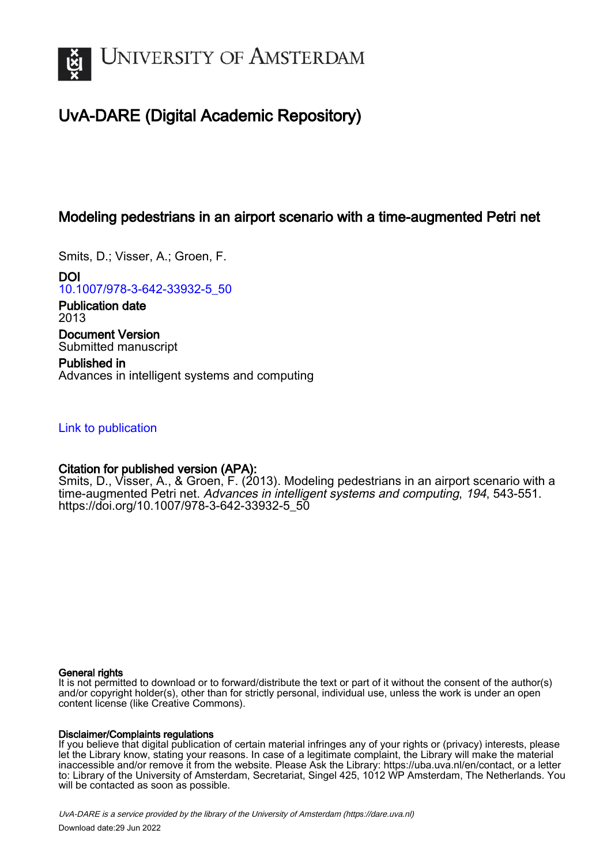

# UvA-DARE (Digital Academic Repository)

# Modeling pedestrians in an airport scenario with a time-augmented Petri net

Smits, D.; Visser, A.; Groen, F.

DOI [10.1007/978-3-642-33932-5\\_50](https://doi.org/10.1007/978-3-642-33932-5_50)

Publication date 2013 Document Version

Submitted manuscript

Published in Advances in intelligent systems and computing

## [Link to publication](https://dare.uva.nl/personal/pure/en/publications/modeling-pedestrians-in-an-airport-scenario-with-a-timeaugmented-petri-net(92744a17-a339-4c98-934b-b6f6c1f8383f).html)

## Citation for published version (APA):

Smits, D., Visser, A., & Groen, F. (2013). Modeling pedestrians in an airport scenario with a time-augmented Petri net. Advances in intelligent systems and computing, 194, 543-551. [https://doi.org/10.1007/978-3-642-33932-5\\_50](https://doi.org/10.1007/978-3-642-33932-5_50)

#### General rights

It is not permitted to download or to forward/distribute the text or part of it without the consent of the author(s) and/or copyright holder(s), other than for strictly personal, individual use, unless the work is under an open content license (like Creative Commons).

### Disclaimer/Complaints regulations

If you believe that digital publication of certain material infringes any of your rights or (privacy) interests, please let the Library know, stating your reasons. In case of a legitimate complaint, the Library will make the material inaccessible and/or remove it from the website. Please Ask the Library: https://uba.uva.nl/en/contact, or a letter to: Library of the University of Amsterdam, Secretariat, Singel 425, 1012 WP Amsterdam, The Netherlands. You will be contacted as soon as possible.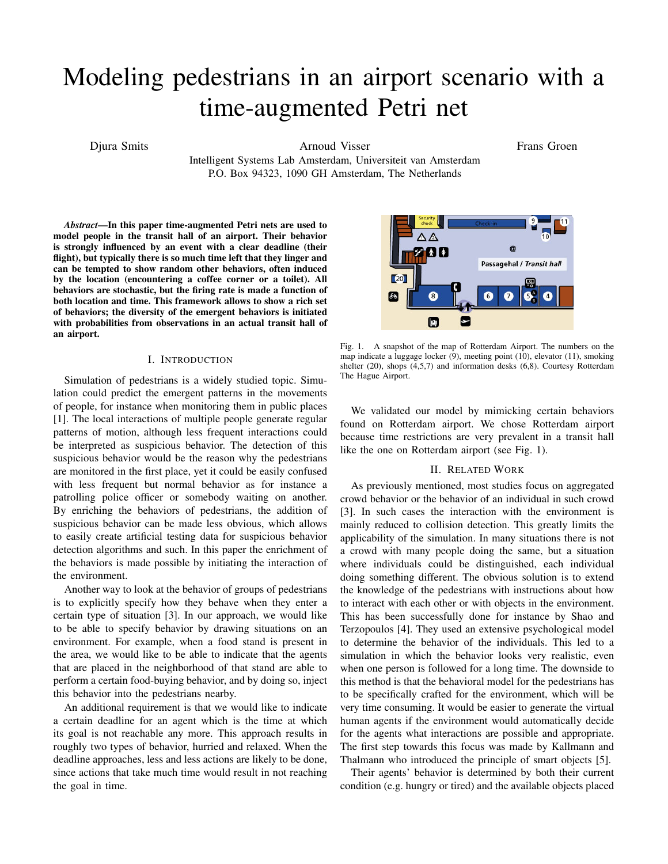# Modeling pedestrians in an airport scenario with a time-augmented Petri net

Djura Smits Arnoud Visser

Frans Groen

Intelligent Systems Lab Amsterdam, Universiteit van Amsterdam P.O. Box 94323, 1090 GH Amsterdam, The Netherlands

*Abstract*—In this paper time-augmented Petri nets are used to model people in the transit hall of an airport. Their behavior is strongly influenced by an event with a clear deadline (their flight), but typically there is so much time left that they linger and can be tempted to show random other behaviors, often induced by the location (encountering a coffee corner or a toilet). All behaviors are stochastic, but the firing rate is made a function of both location and time. This framework allows to show a rich set of behaviors; the diversity of the emergent behaviors is initiated with probabilities from observations in an actual transit hall of an airport.

#### I. INTRODUCTION

Simulation of pedestrians is a widely studied topic. Simulation could predict the emergent patterns in the movements of people, for instance when monitoring them in public places [1]. The local interactions of multiple people generate regular patterns of motion, although less frequent interactions could be interpreted as suspicious behavior. The detection of this suspicious behavior would be the reason why the pedestrians are monitored in the first place, yet it could be easily confused with less frequent but normal behavior as for instance a patrolling police officer or somebody waiting on another. By enriching the behaviors of pedestrians, the addition of suspicious behavior can be made less obvious, which allows to easily create artificial testing data for suspicious behavior detection algorithms and such. In this paper the enrichment of the behaviors is made possible by initiating the interaction of the environment.

Another way to look at the behavior of groups of pedestrians is to explicitly specify how they behave when they enter a certain type of situation [3]. In our approach, we would like to be able to specify behavior by drawing situations on an environment. For example, when a food stand is present in the area, we would like to be able to indicate that the agents that are placed in the neighborhood of that stand are able to perform a certain food-buying behavior, and by doing so, inject this behavior into the pedestrians nearby.

An additional requirement is that we would like to indicate a certain deadline for an agent which is the time at which its goal is not reachable any more. This approach results in roughly two types of behavior, hurried and relaxed. When the deadline approaches, less and less actions are likely to be done, since actions that take much time would result in not reaching the goal in time.



Fig. 1. A snapshot of the map of Rotterdam Airport. The numbers on the map indicate a luggage locker (9), meeting point (10), elevator (11), smoking shelter (20), shops (4,5,7) and information desks (6,8). Courtesy Rotterdam The Hague Airport.

We validated our model by mimicking certain behaviors found on Rotterdam airport. We chose Rotterdam airport because time restrictions are very prevalent in a transit hall like the one on Rotterdam airport (see Fig. 1).

#### II. RELATED WORK

As previously mentioned, most studies focus on aggregated crowd behavior or the behavior of an individual in such crowd [3]. In such cases the interaction with the environment is mainly reduced to collision detection. This greatly limits the applicability of the simulation. In many situations there is not a crowd with many people doing the same, but a situation where individuals could be distinguished, each individual doing something different. The obvious solution is to extend the knowledge of the pedestrians with instructions about how to interact with each other or with objects in the environment. This has been successfully done for instance by Shao and Terzopoulos [4]. They used an extensive psychological model to determine the behavior of the individuals. This led to a simulation in which the behavior looks very realistic, even when one person is followed for a long time. The downside to this method is that the behavioral model for the pedestrians has to be specifically crafted for the environment, which will be very time consuming. It would be easier to generate the virtual human agents if the environment would automatically decide for the agents what interactions are possible and appropriate. The first step towards this focus was made by Kallmann and Thalmann who introduced the principle of smart objects [5].

Their agents' behavior is determined by both their current condition (e.g. hungry or tired) and the available objects placed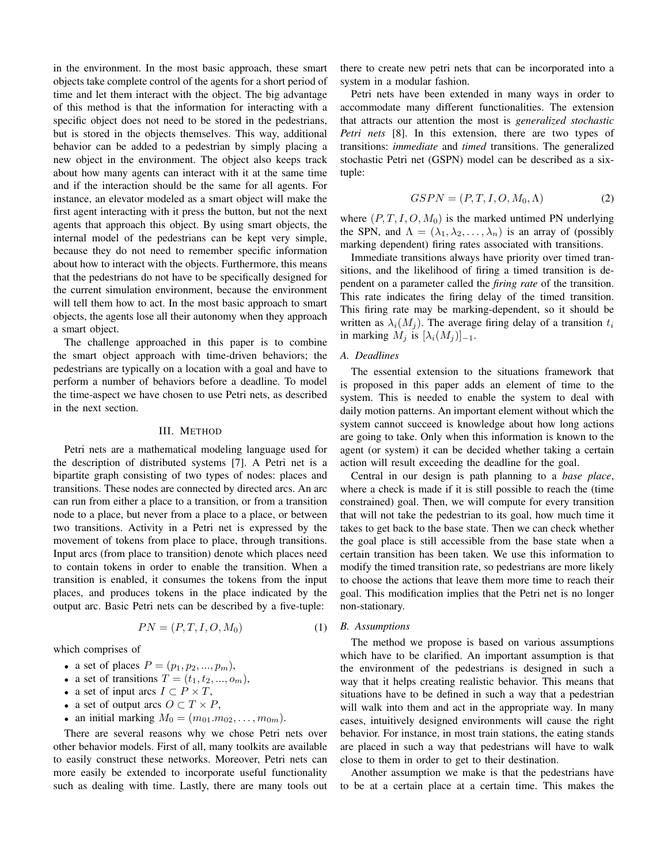in the environment. In the most basic approach, these smart objects take complete control of the agents for a short period of time and let them interact with the object. The big advantage of this method is that the information for interacting with a specific object does not need to be stored in the pedestrians, but is stored in the objects themselves. This way, additional behavior can be added to a pedestrian by simply placing a new object in the environment. The object also keeps track about how many agents can interact with it at the same time and if the interaction should be the same for all agents. For instance, an elevator modeled as a smart object will make the first agent interacting with it press the button, but not the next agents that approach this object. By using smart objects, the internal model of the pedestrians can be kept very simple, because they do not need to remember specific information about how to interact with the objects. Furthermore, this means that the pedestrians do not have to be specifically designed for the current simulation environment, because the environment will tell them how to act. In the most basic approach to smart objects, the agents lose all their autonomy when they approach a smart object.

The challenge approached in this paper is to combine the smart object approach with time-driven behaviors; the pedestrians are typically on a location with a goal and have to perform a number of behaviors before a deadline. To model the time-aspect we have chosen to use Petri nets, as described in the next section.

#### III. METHOD

Petri nets are a mathematical modeling language used for the description of distributed systems [7]. A Petri net is a bipartite graph consisting of two types of nodes: places and transitions. These nodes are connected by directed arcs. An arc can run from either a place to a transition, or from a transition node to a place, but never from a place to a place, or between two transitions. Activity in a Petri net is expressed by the movement of tokens from place to place, through transitions. Input arcs (from place to transition) denote which places need to contain tokens in order to enable the transition. When a transition is enabled, it consumes the tokens from the input places, and produces tokens in the place indicated by the output arc. Basic Petri nets can be described by a five-tuple:

$$
PN = (P, T, I, O, M_0) \tag{1}
$$

which comprises of

- a set of places  $P = (p_1, p_2, ..., p_m)$ ,
- a set of transitions  $T = (t_1, t_2, \ldots, o_m)$ ,
- a set of input arcs  $I \subset P \times T$ ,
- a set of output arcs  $O \subset T \times P$ ,
- an initial marking  $M_0 = (m_{01}.m_{02}, \ldots, m_{0m}).$

There are several reasons why we chose Petri nets over other behavior models. First of all, many toolkits are available to easily construct these networks. Moreover, Petri nets can more easily be extended to incorporate useful functionality such as dealing with time. Lastly, there are many tools out there to create new petri nets that can be incorporated into a system in a modular fashion.

Petri nets have been extended in many ways in order to accommodate many different functionalities. The extension that attracts our attention the most is *generalized stochastic Petri nets* [8]. In this extension, there are two types of transitions: *immediate* and *timed* transitions. The generalized stochastic Petri net (GSPN) model can be described as a sixtuple:

$$
GSPN = (P, T, I, O, M_0, \Lambda) \tag{2}
$$

where  $(P, T, I, O, M_0)$  is the marked untimed PN underlying the SPN, and  $\Lambda = (\lambda_1, \lambda_2, \dots, \lambda_n)$  is an array of (possibly marking dependent) firing rates associated with transitions.

Immediate transitions always have priority over timed transitions, and the likelihood of firing a timed transition is dependent on a parameter called the *firing rate* of the transition. This rate indicates the firing delay of the timed transition. This firing rate may be marking-dependent, so it should be written as  $\lambda_i(M_j)$ . The average firing delay of a transition  $t_i$ in marking  $M_j$  is  $[\lambda_i(M_j)]_{-1}$ .

#### *A. Deadlines*

The essential extension to the situations framework that is proposed in this paper adds an element of time to the system. This is needed to enable the system to deal with daily motion patterns. An important element without which the system cannot succeed is knowledge about how long actions are going to take. Only when this information is known to the agent (or system) it can be decided whether taking a certain action will result exceeding the deadline for the goal.

Central in our design is path planning to a *base place*, where a check is made if it is still possible to reach the (time constrained) goal. Then, we will compute for every transition that will not take the pedestrian to its goal, how much time it takes to get back to the base state. Then we can check whether the goal place is still accessible from the base state when a certain transition has been taken. We use this information to modify the timed transition rate, so pedestrians are more likely to choose the actions that leave them more time to reach their goal. This modification implies that the Petri net is no longer non-stationary.

#### *B. Assumptions*

The method we propose is based on various assumptions which have to be clarified. An important assumption is that the environment of the pedestrians is designed in such a way that it helps creating realistic behavior. This means that situations have to be defined in such a way that a pedestrian will walk into them and act in the appropriate way. In many cases, intuitively designed environments will cause the right behavior. For instance, in most train stations, the eating stands are placed in such a way that pedestrians will have to walk close to them in order to get to their destination.

Another assumption we make is that the pedestrians have to be at a certain place at a certain time. This makes the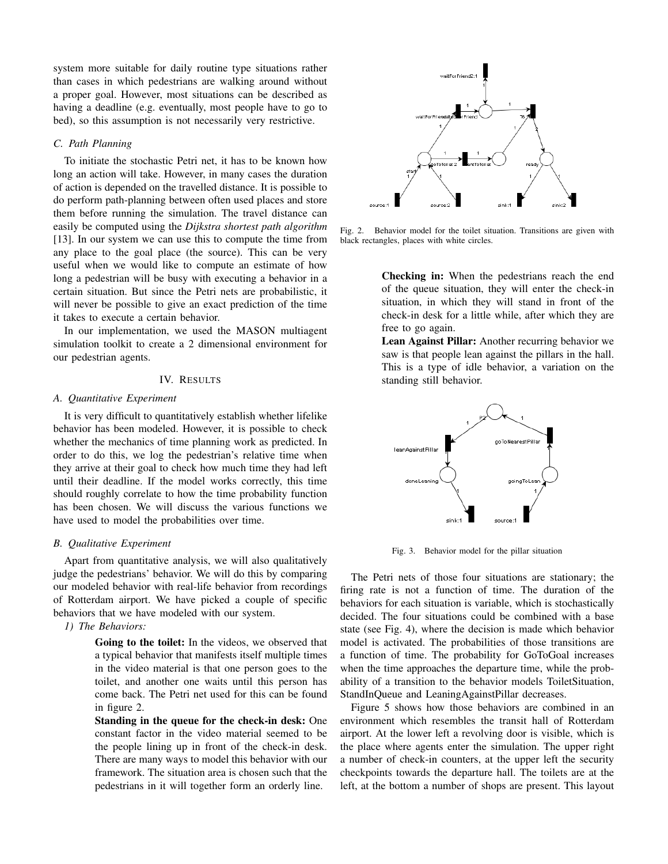system more suitable for daily routine type situations rather than cases in which pedestrians are walking around without a proper goal. However, most situations can be described as having a deadline (e.g. eventually, most people have to go to bed), so this assumption is not necessarily very restrictive.

#### *C. Path Planning*

To initiate the stochastic Petri net, it has to be known how long an action will take. However, in many cases the duration of action is depended on the travelled distance. It is possible to do perform path-planning between often used places and store them before running the simulation. The travel distance can easily be computed using the *Dijkstra shortest path algorithm* [13]. In our system we can use this to compute the time from any place to the goal place (the source). This can be very useful when we would like to compute an estimate of how long a pedestrian will be busy with executing a behavior in a certain situation. But since the Petri nets are probabilistic, it will never be possible to give an exact prediction of the time it takes to execute a certain behavior.

In our implementation, we used the MASON multiagent simulation toolkit to create a 2 dimensional environment for our pedestrian agents.

#### IV. RESULTS

#### *A. Quantitative Experiment*

It is very difficult to quantitatively establish whether lifelike behavior has been modeled. However, it is possible to check whether the mechanics of time planning work as predicted. In order to do this, we log the pedestrian's relative time when they arrive at their goal to check how much time they had left until their deadline. If the model works correctly, this time should roughly correlate to how the time probability function has been chosen. We will discuss the various functions we have used to model the probabilities over time.

#### *B. Qualitative Experiment*

Apart from quantitative analysis, we will also qualitatively judge the pedestrians' behavior. We will do this by comparing our modeled behavior with real-life behavior from recordings of Rotterdam airport. We have picked a couple of specific behaviors that we have modeled with our system.

#### *1) The Behaviors:*

Going to the toilet: In the videos, we observed that a typical behavior that manifests itself multiple times in the video material is that one person goes to the toilet, and another one waits until this person has come back. The Petri net used for this can be found in figure 2.

Standing in the queue for the check-in desk: One constant factor in the video material seemed to be the people lining up in front of the check-in desk. There are many ways to model this behavior with our framework. The situation area is chosen such that the pedestrians in it will together form an orderly line.



Fig. 2. Behavior model for the toilet situation. Transitions are given with black rectangles, places with white circles.

Checking in: When the pedestrians reach the end of the queue situation, they will enter the check-in situation, in which they will stand in front of the check-in desk for a little while, after which they are free to go again.

Lean Against Pillar: Another recurring behavior we saw is that people lean against the pillars in the hall. This is a type of idle behavior, a variation on the standing still behavior.



Fig. 3. Behavior model for the pillar situation

The Petri nets of those four situations are stationary; the firing rate is not a function of time. The duration of the behaviors for each situation is variable, which is stochastically decided. The four situations could be combined with a base state (see Fig. 4), where the decision is made which behavior model is activated. The probabilities of those transitions are a function of time. The probability for GoToGoal increases when the time approaches the departure time, while the probability of a transition to the behavior models ToiletSituation, StandInQueue and LeaningAgainstPillar decreases.

Figure 5 shows how those behaviors are combined in an environment which resembles the transit hall of Rotterdam airport. At the lower left a revolving door is visible, which is the place where agents enter the simulation. The upper right a number of check-in counters, at the upper left the security checkpoints towards the departure hall. The toilets are at the left, at the bottom a number of shops are present. This layout